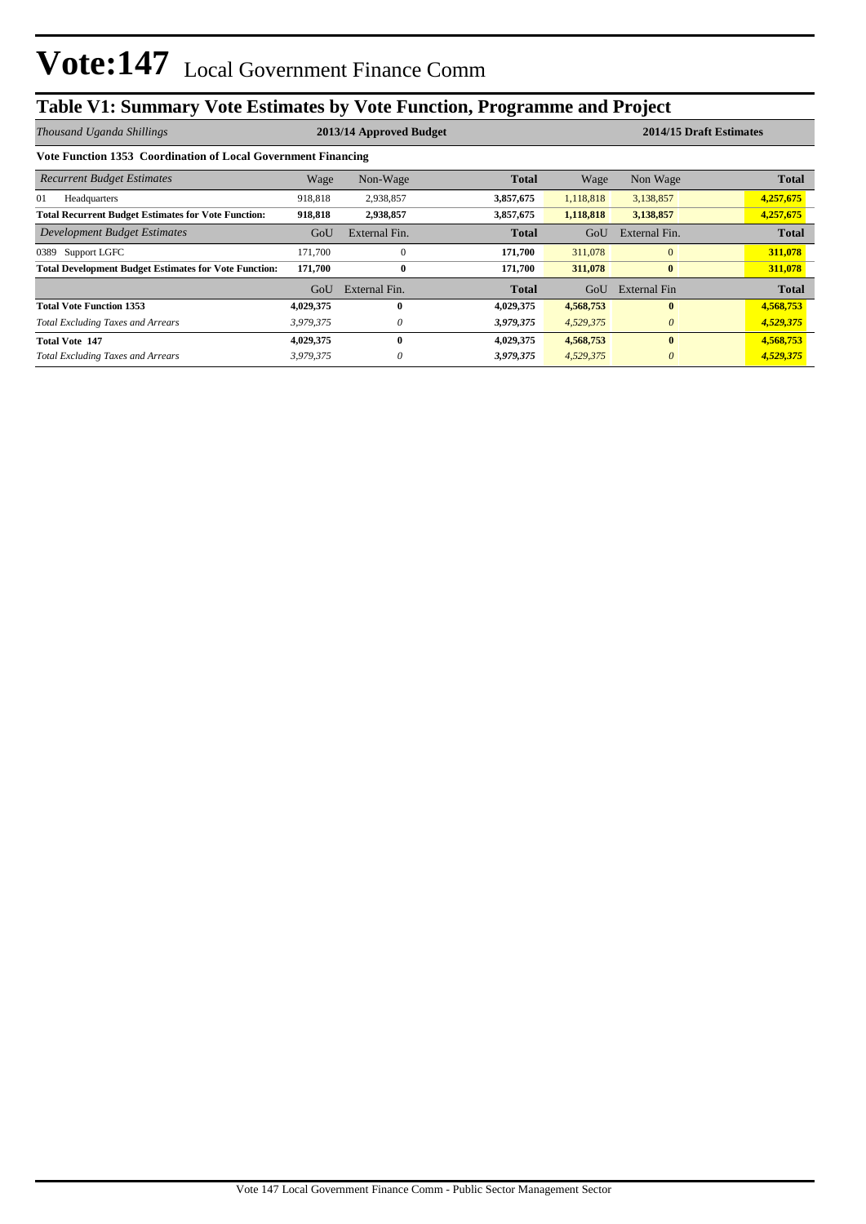## **Table V1: Summary Vote Estimates by Vote Function, Programme and Project**

| Thousand Uganda Shillings                                     |           | 2013/14 Approved Budget |              | 2014/15 Draft Estimates |               |              |
|---------------------------------------------------------------|-----------|-------------------------|--------------|-------------------------|---------------|--------------|
| Vote Function 1353 Coordination of Local Government Financing |           |                         |              |                         |               |              |
| <b>Recurrent Budget Estimates</b>                             | Wage      | Non-Wage                | <b>Total</b> | Wage                    | Non Wage      | <b>Total</b> |
| 01<br>Headquarters                                            | 918,818   | 2,938,857               | 3,857,675    | 1,118,818               | 3,138,857     | 4,257,675    |
| <b>Total Recurrent Budget Estimates for Vote Function:</b>    | 918,818   | 2,938,857               | 3,857,675    | 1,118,818               | 3,138,857     | 4,257,675    |
| Development Budget Estimates                                  | GoU       | External Fin.           | <b>Total</b> | GoU                     | External Fin. | <b>Total</b> |
| 0389 Support LGFC                                             | 171,700   | $\theta$                | 171,700      | 311,078                 | $\mathbf{0}$  | 311,078      |
| <b>Total Development Budget Estimates for Vote Function:</b>  | 171,700   | $\bf{0}$                | 171,700      | 311,078                 | $\bf{0}$      | 311,078      |
|                                                               | GoU       | External Fin.           | <b>Total</b> | GoU                     | External Fin  | <b>Total</b> |
| <b>Total Vote Function 1353</b>                               | 4,029,375 | $\mathbf{0}$            | 4,029,375    | 4,568,753               | $\mathbf{0}$  | 4,568,753    |
| <b>Total Excluding Taxes and Arrears</b>                      | 3,979,375 | 0                       | 3,979,375    | 4,529,375               | $\theta$      | 4,529,375    |
| <b>Total Vote 147</b>                                         | 4,029,375 | $\mathbf{0}$            | 4,029,375    | 4,568,753               | $\bf{0}$      | 4,568,753    |
| <b>Total Excluding Taxes and Arrears</b>                      | 3,979,375 | $\theta$                | 3,979,375    | 4,529,375               | $\theta$      | 4,529,375    |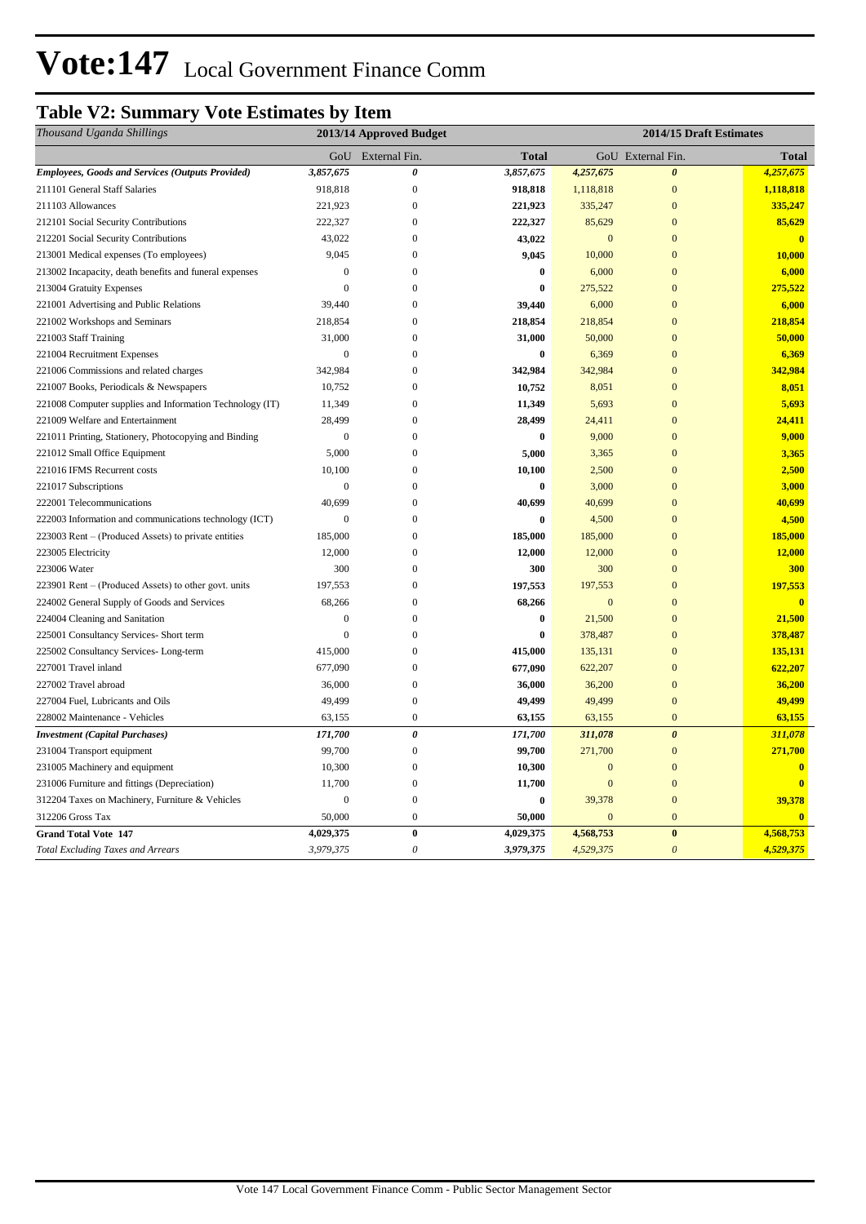## **Table V2: Summary Vote Estimates by Item**

| Thousand Uganda Shillings                                |                  | 2013/14 Approved Budget |              |              | 2014/15 Draft Estimates |                         |
|----------------------------------------------------------|------------------|-------------------------|--------------|--------------|-------------------------|-------------------------|
|                                                          |                  | GoU External Fin.       | <b>Total</b> |              | GoU External Fin.       | <b>Total</b>            |
| <b>Employees, Goods and Services (Outputs Provided)</b>  | 3,857,675        | 0                       | 3,857,675    | 4,257,675    | $\boldsymbol{\theta}$   | 4,257,675               |
| 211101 General Staff Salaries                            | 918,818          | $\overline{0}$          | 918,818      | 1,118,818    | $\mathbf{0}$            | 1,118,818               |
| 211103 Allowances                                        | 221,923          | $\boldsymbol{0}$        | 221,923      | 335,247      | $\mathbf{0}$            | 335,247                 |
| 212101 Social Security Contributions                     | 222,327          | $\mathbf{0}$            | 222,327      | 85,629       | $\overline{0}$          | 85,629                  |
| 212201 Social Security Contributions                     | 43,022           | $\mathbf{0}$            | 43,022       | $\mathbf{0}$ | $\mathbf{0}$            | $\bf{0}$                |
| 213001 Medical expenses (To employees)                   | 9,045            | $\overline{0}$          | 9,045        | 10,000       | $\overline{0}$          | 10,000                  |
| 213002 Incapacity, death benefits and funeral expenses   | $\boldsymbol{0}$ | $\boldsymbol{0}$        | $\bf{0}$     | 6,000        | $\Omega$                | 6,000                   |
| 213004 Gratuity Expenses                                 | $\overline{0}$   | $\overline{0}$          | $\bf{0}$     | 275,522      | $\overline{0}$          | 275,522                 |
| 221001 Advertising and Public Relations                  | 39,440           | $\boldsymbol{0}$        | 39,440       | 6,000        | $\mathbf{0}$            | 6,000                   |
| 221002 Workshops and Seminars                            | 218,854          | $\boldsymbol{0}$        | 218,854      | 218,854      | $\overline{0}$          | 218,854                 |
| 221003 Staff Training                                    | 31,000           | $\mathbf{0}$            | 31,000       | 50,000       | $\mathbf{0}$            | 50,000                  |
| 221004 Recruitment Expenses                              | $\mathbf{0}$     | $\overline{0}$          | $\bf{0}$     | 6,369        | $\overline{0}$          | 6,369                   |
| 221006 Commissions and related charges                   | 342,984          | $\overline{0}$          | 342,984      | 342,984      | $\mathbf{0}$            | 342,984                 |
| 221007 Books, Periodicals & Newspapers                   | 10,752           | $\boldsymbol{0}$        | 10,752       | 8,051        | $\overline{0}$          | 8,051                   |
| 221008 Computer supplies and Information Technology (IT) | 11,349           | $\mathbf{0}$            | 11,349       | 5,693        | $\Omega$                | 5,693                   |
| 221009 Welfare and Entertainment                         | 28,499           | $\boldsymbol{0}$        | 28,499       | 24,411       | $\mathbf{0}$            | 24,411                  |
| 221011 Printing, Stationery, Photocopying and Binding    | $\mathbf{0}$     | $\overline{0}$          | $\bf{0}$     | 9,000        | $\overline{0}$          | 9,000                   |
| 221012 Small Office Equipment                            | 5,000            | $\mathbf{0}$            | 5,000        | 3,365        | $\overline{0}$          | 3,365                   |
| 221016 IFMS Recurrent costs                              | 10,100           | $\mathbf{0}$            | 10,100       | 2,500        | $\mathbf{0}$            | 2,500                   |
| 221017 Subscriptions                                     | $\boldsymbol{0}$ | $\boldsymbol{0}$        | $\bf{0}$     | 3,000        | $\Omega$                | 3,000                   |
| 222001 Telecommunications                                | 40,699           | $\overline{0}$          | 40,699       | 40,699       | $\overline{0}$          | 40,699                  |
| 222003 Information and communications technology (ICT)   | $\Omega$         | $\theta$                | $\bf{0}$     | 4,500        | $\mathbf{0}$            | 4,500                   |
| 223003 Rent – (Produced Assets) to private entities      | 185,000          | $\overline{0}$          | 185,000      | 185,000      | $\overline{0}$          | 185,000                 |
| 223005 Electricity                                       | 12,000           | $\mathbf{0}$            | 12,000       | 12,000       | $\Omega$                | 12,000                  |
| 223006 Water                                             | 300              | $\mathbf{0}$            | 300          | 300          | $\mathbf{0}$            | 300                     |
| 223901 Rent – (Produced Assets) to other govt. units     | 197,553          | $\overline{0}$          | 197,553      | 197,553      | $\mathbf{0}$            | 197,553                 |
| 224002 General Supply of Goods and Services              | 68,266           | $\overline{0}$          | 68,266       | $\mathbf{0}$ | $\overline{0}$          | $\mathbf{0}$            |
| 224004 Cleaning and Sanitation                           | $\mathbf{0}$     | $\mathbf{0}$            | $\bf{0}$     | 21,500       | $\mathbf{0}$            | 21,500                  |
| 225001 Consultancy Services- Short term                  | $\overline{0}$   | $\overline{0}$          | $\bf{0}$     | 378,487      | $\overline{0}$          | 378,487                 |
| 225002 Consultancy Services-Long-term                    | 415,000          | $\overline{0}$          | 415,000      | 135,131      | $\mathbf{0}$            | 135,131                 |
| 227001 Travel inland                                     | 677,090          | $\boldsymbol{0}$        | 677,090      | 622,207      | $\mathbf{0}$            | 622,207                 |
| 227002 Travel abroad                                     | 36,000           | $\mathbf{0}$            | 36,000       | 36,200       | $\overline{0}$          | 36,200                  |
| 227004 Fuel, Lubricants and Oils                         | 49,499           | $\boldsymbol{0}$        | 49,499       | 49,499       | $\mathbf{0}$            | 49,499                  |
| 228002 Maintenance - Vehicles                            | 63,155           | $\boldsymbol{0}$        | 63,155       | 63,155       | $\overline{0}$          | 63,155                  |
| <b>Investment</b> (Capital Purchases)                    | 171,700          | $\boldsymbol{\theta}$   | 171,700      | 311,078      | $\boldsymbol{\theta}$   | 311,078                 |
| 231004 Transport equipment                               | 99,700           | $\overline{0}$          | 99,700       | 271,700      | $\mathbf{0}$            | 271,700                 |
| 231005 Machinery and equipment                           | 10,300           | $\boldsymbol{0}$        | 10,300       | $\mathbf{0}$ | $\mathbf{0}$            | $\overline{\mathbf{0}}$ |
| 231006 Furniture and fittings (Depreciation)             | 11,700           | $\boldsymbol{0}$        | 11,700       | $\mathbf{0}$ | $\overline{0}$          | $\overline{0}$          |
| 312204 Taxes on Machinery, Furniture & Vehicles          | $\mathbf{0}$     | $\mathbf{0}$            | $\bf{0}$     | 39,378       | $\mathbf{0}$            | 39,378                  |
| 312206 Gross Tax                                         | 50,000           | $\mathbf{0}$            | 50,000       | $\mathbf{0}$ | $\mathbf{0}$            | $\mathbf{0}$            |
| <b>Grand Total Vote 147</b>                              | 4,029,375        | $\bf{0}$                | 4,029,375    | 4,568,753    | $\boldsymbol{0}$        | 4,568,753               |
| <b>Total Excluding Taxes and Arrears</b>                 | 3,979,375        | $\boldsymbol{\theta}$   | 3,979,375    | 4,529,375    | $\boldsymbol{\theta}$   | 4,529,375               |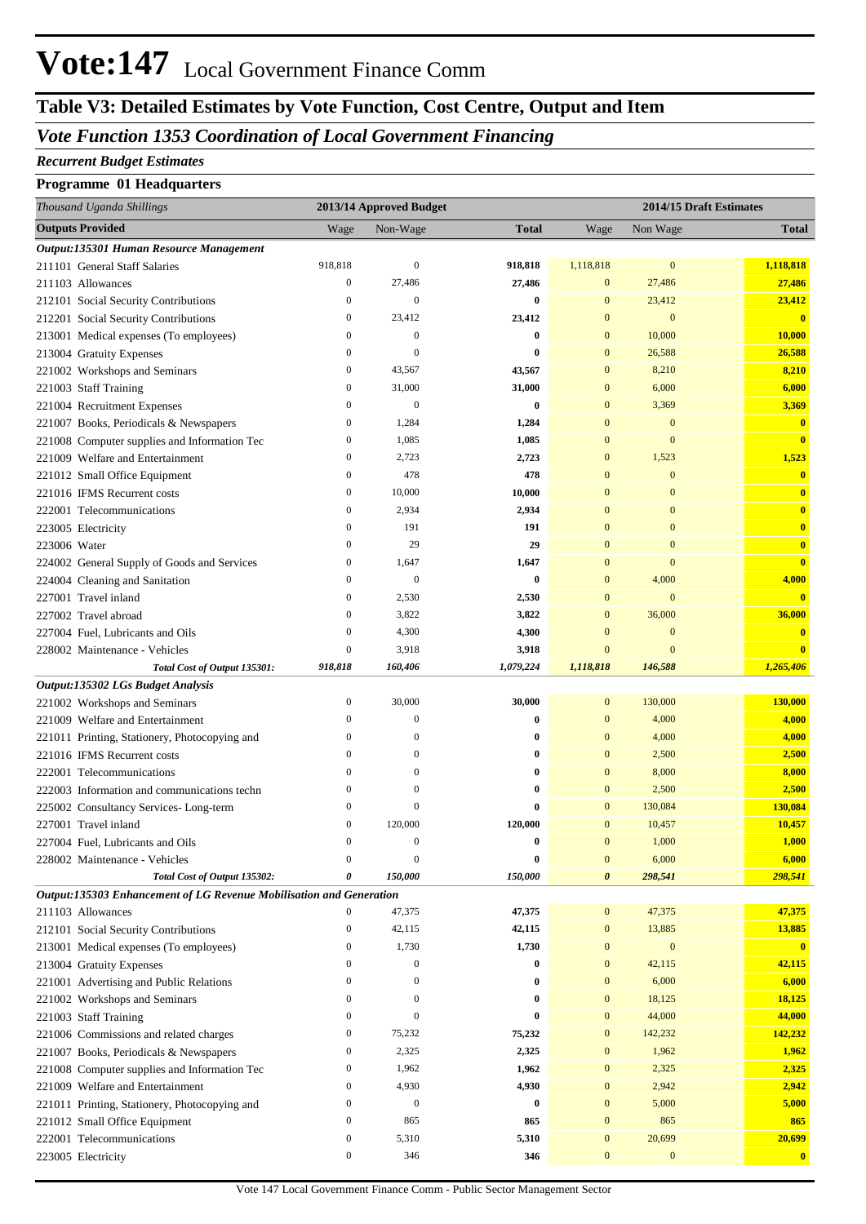### **Table V3: Detailed Estimates by Vote Function, Cost Centre, Output and Item**

### *Vote Function 1353 Coordination of Local Government Financing*

#### *Recurrent Budget Estimates*

#### **Programme 01 Headquarters**

| Thousand Uganda Shillings                                           |                  | 2013/14 Approved Budget |              |                  | 2014/15 Draft Estimates |                         |
|---------------------------------------------------------------------|------------------|-------------------------|--------------|------------------|-------------------------|-------------------------|
| <b>Outputs Provided</b>                                             | Wage             | Non-Wage                | <b>Total</b> | Wage             | Non Wage                | <b>Total</b>            |
| Output:135301 Human Resource Management                             |                  |                         |              |                  |                         |                         |
| 211101 General Staff Salaries                                       | 918,818          | $\mathbf{0}$            | 918,818      | 1,118,818        | $\mathbf{0}$            | 1,118,818               |
| 211103 Allowances                                                   | $\boldsymbol{0}$ | 27,486                  | 27,486       | $\overline{0}$   | 27,486                  | 27,486                  |
| 212101 Social Security Contributions                                | $\boldsymbol{0}$ | $\mathbf{0}$            | $\bf{0}$     | $\bf{0}$         | 23,412                  | 23,412                  |
| 212201 Social Security Contributions                                | $\boldsymbol{0}$ | 23,412                  | 23,412       | $\mathbf{0}$     | $\mathbf{0}$            | $\overline{\mathbf{0}}$ |
| 213001 Medical expenses (To employees)                              | $\boldsymbol{0}$ | $\mathbf{0}$            | $\bf{0}$     | $\mathbf{0}$     | 10,000                  | 10,000                  |
| 213004 Gratuity Expenses                                            | $\boldsymbol{0}$ | $\mathbf{0}$            | 0            | $\mathbf{0}$     | 26,588                  | 26,588                  |
| 221002 Workshops and Seminars                                       | $\boldsymbol{0}$ | 43,567                  | 43,567       | $\mathbf{0}$     | 8,210                   | 8,210                   |
| 221003 Staff Training                                               | $\boldsymbol{0}$ | 31,000                  | 31,000       | $\mathbf{0}$     | 6,000                   | 6,000                   |
| 221004 Recruitment Expenses                                         | $\boldsymbol{0}$ | $\mathbf{0}$            | $\bf{0}$     | $\mathbf{0}$     | 3,369                   | 3,369                   |
| 221007 Books, Periodicals & Newspapers                              | $\boldsymbol{0}$ | 1,284                   | 1,284        | $\mathbf{0}$     | $\mathbf{0}$            | $\bf{0}$                |
| 221008 Computer supplies and Information Tec                        | $\bf{0}$         | 1,085                   | 1,085        | $\mathbf{0}$     | $\mathbf{0}$            | $\bf{0}$                |
| 221009 Welfare and Entertainment                                    | $\boldsymbol{0}$ | 2,723                   | 2,723        | $\mathbf{0}$     | 1,523                   | 1,523                   |
| 221012 Small Office Equipment                                       | $\boldsymbol{0}$ | 478                     | 478          | $\mathbf{0}$     | $\mathbf{0}$            | $\mathbf{0}$            |
| 221016 IFMS Recurrent costs                                         | $\boldsymbol{0}$ | 10,000                  | 10,000       | $\mathbf{0}$     | $\mathbf{0}$            | $\bf{0}$                |
| 222001 Telecommunications                                           | $\boldsymbol{0}$ | 2,934                   | 2,934        | $\mathbf{0}$     | $\mathbf{0}$            | $\bf{0}$                |
| 223005 Electricity                                                  | $\boldsymbol{0}$ | 191                     | 191          | $\mathbf{0}$     | $\mathbf{0}$            | $\bf{0}$                |
| 223006 Water                                                        | $\boldsymbol{0}$ | 29                      | 29           | $\mathbf{0}$     | $\mathbf{0}$            | $\mathbf{0}$            |
| 224002 General Supply of Goods and Services                         | $\boldsymbol{0}$ | 1,647                   | 1,647        | $\mathbf{0}$     | $\mathbf{0}$            | $\bf{0}$                |
| 224004 Cleaning and Sanitation                                      | $\boldsymbol{0}$ | $\mathbf{0}$            | $\bf{0}$     | $\boldsymbol{0}$ | 4,000                   | 4,000                   |
| 227001 Travel inland                                                | $\boldsymbol{0}$ | 2,530                   | 2,530        | $\mathbf{0}$     | $\mathbf{0}$            | $\overline{\mathbf{0}}$ |
| 227002 Travel abroad                                                | $\boldsymbol{0}$ | 3,822                   | 3,822        | $\mathbf{0}$     | 36,000                  | 36,000                  |
| 227004 Fuel, Lubricants and Oils                                    | $\boldsymbol{0}$ | 4,300                   | 4,300        | $\mathbf{0}$     | $\mathbf{0}$            | $\bf{0}$                |
| 228002 Maintenance - Vehicles                                       | $\boldsymbol{0}$ | 3,918                   | 3,918        | $\mathbf{0}$     | $\mathbf{0}$            | $\overline{\mathbf{0}}$ |
| Total Cost of Output 135301:                                        | 918,818          | 160,406                 | 1,079,224    | 1,118,818        | 146,588                 | 1,265,406               |
| Output:135302 LGs Budget Analysis                                   |                  |                         |              |                  |                         |                         |
| 221002 Workshops and Seminars                                       | $\boldsymbol{0}$ | 30,000                  | 30,000       | $\mathbf{0}$     | 130,000                 | 130,000                 |
| 221009 Welfare and Entertainment                                    | $\boldsymbol{0}$ | $\boldsymbol{0}$        | $\bf{0}$     | $\mathbf{0}$     | 4,000                   | 4,000                   |
| 221011 Printing, Stationery, Photocopying and                       | $\boldsymbol{0}$ | $\mathbf{0}$            | 0            | $\mathbf{0}$     | 4,000                   | 4,000                   |
| 221016 IFMS Recurrent costs                                         | $\mathbf{0}$     | $\mathbf{0}$            | 0            | $\mathbf{0}$     | 2,500                   | 2,500                   |
| 222001 Telecommunications                                           | $\mathbf{0}$     | $\mathbf{0}$            | 0            | $\mathbf{0}$     | 8,000                   | 8,000                   |
| 222003 Information and communications techn                         | $\mathbf{0}$     | $\mathbf{0}$            | 0            | $\bf{0}$         | 2,500                   | 2,500                   |
| 225002 Consultancy Services-Long-term                               | $\boldsymbol{0}$ | $\boldsymbol{0}$        | 0            | $\bf{0}$         | 130,084                 | 130,084                 |
| 227001 Travel inland                                                | $\boldsymbol{0}$ | 120,000                 | 120,000      | $\boldsymbol{0}$ | 10,457                  | 10,457                  |
| 227004 Fuel, Lubricants and Oils                                    | $\mathbf{0}$     | $\Omega$                | $\bf{0}$     | $\overline{0}$   | 1,000                   | 1,000                   |
| 228002 Maintenance - Vehicles                                       | $\boldsymbol{0}$ | $\mathbf{0}$            | $\bf{0}$     | $\boldsymbol{0}$ | 6,000                   | 6,000                   |
| Total Cost of Output 135302:                                        | 0                | 150,000                 | 150,000      | 0                | 298,541                 | 298,541                 |
| Output:135303 Enhancement of LG Revenue Mobilisation and Generation |                  |                         |              |                  |                         |                         |
| 211103 Allowances                                                   | 0                | 47,375                  | 47,375       | $\bf{0}$         | 47,375                  | 47,375                  |
| 212101 Social Security Contributions                                | $\boldsymbol{0}$ | 42,115                  | 42,115       | $\boldsymbol{0}$ | 13,885                  | 13,885                  |
| 213001 Medical expenses (To employees)                              | $\boldsymbol{0}$ | 1,730                   | 1,730        | $\mathbf{0}$     | $\boldsymbol{0}$        | $\mathbf{0}$            |
| 213004 Gratuity Expenses                                            | $\boldsymbol{0}$ | $\boldsymbol{0}$        | $\bf{0}$     | $\boldsymbol{0}$ | 42,115                  | 42,115                  |
| 221001 Advertising and Public Relations                             | $\boldsymbol{0}$ | $\boldsymbol{0}$        | 0            | $\mathbf{0}$     | 6,000                   | 6,000                   |
| 221002 Workshops and Seminars                                       | $\boldsymbol{0}$ | $\boldsymbol{0}$        | $\bf{0}$     | $\boldsymbol{0}$ | 18,125                  | 18,125                  |
| 221003 Staff Training                                               | $\boldsymbol{0}$ | $\boldsymbol{0}$        | $\bf{0}$     | $\boldsymbol{0}$ | 44,000                  | 44,000                  |
| 221006 Commissions and related charges                              | $\boldsymbol{0}$ | 75,232                  | 75,232       | $\boldsymbol{0}$ | 142,232                 | 142,232                 |
| 221007 Books, Periodicals & Newspapers                              | $\boldsymbol{0}$ | 2,325                   | 2,325        | $\boldsymbol{0}$ | 1,962                   | 1,962                   |
| 221008 Computer supplies and Information Tec                        | $\boldsymbol{0}$ | 1,962                   | 1,962        | $\boldsymbol{0}$ | 2,325                   | 2,325                   |
| 221009 Welfare and Entertainment                                    | $\boldsymbol{0}$ | 4,930                   | 4,930        | $\boldsymbol{0}$ | 2,942                   | 2,942                   |
| 221011 Printing, Stationery, Photocopying and                       | $\boldsymbol{0}$ | $\boldsymbol{0}$        | $\bf{0}$     | $\boldsymbol{0}$ | 5,000                   | 5,000                   |
| 221012 Small Office Equipment                                       | $\boldsymbol{0}$ | 865                     | 865          | $\mathbf{0}$     | 865                     | 865                     |
| 222001 Telecommunications                                           | $\boldsymbol{0}$ | 5,310                   | 5,310        | $\boldsymbol{0}$ | 20,699                  | 20,699                  |
| 223005 Electricity                                                  | $\boldsymbol{0}$ | 346                     | 346          | $\boldsymbol{0}$ | $\boldsymbol{0}$        | $\mathbf{0}$            |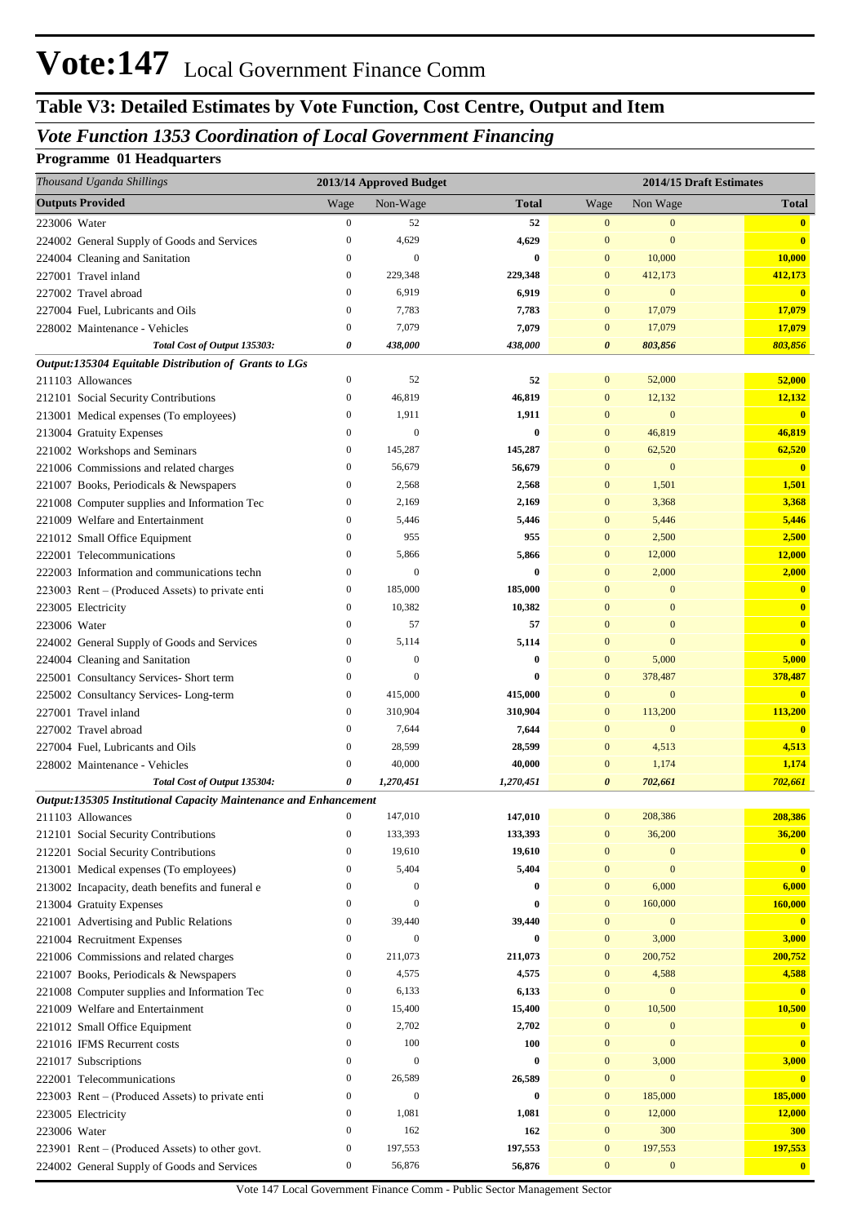### **Table V3: Detailed Estimates by Vote Function, Cost Centre, Output and Item**

#### *Vote Function 1353 Coordination of Local Government Financing*

#### **Programme 01 Headquarters**

|              | Thousand Uganda Shillings                                        |                  | 2013/14 Approved Budget |              |                       |                  | 2014/15 Draft Estimates |
|--------------|------------------------------------------------------------------|------------------|-------------------------|--------------|-----------------------|------------------|-------------------------|
|              | <b>Outputs Provided</b>                                          | Wage             | Non-Wage                | <b>Total</b> | Wage                  | Non Wage         | <b>Total</b>            |
| 223006 Water |                                                                  | $\boldsymbol{0}$ | 52                      | 52           | $\boldsymbol{0}$      | $\bf{0}$         | $\mathbf{0}$            |
|              | 224002 General Supply of Goods and Services                      | $\boldsymbol{0}$ | 4,629                   | 4,629        | $\mathbf{0}$          | $\mathbf{0}$     | $\bf{0}$                |
|              | 224004 Cleaning and Sanitation                                   | $\boldsymbol{0}$ | $\mathbf{0}$            | $\bf{0}$     | $\mathbf{0}$          | 10,000           | 10,000                  |
|              | 227001 Travel inland                                             | $\boldsymbol{0}$ | 229,348                 | 229,348      | $\mathbf{0}$          | 412,173          | 412,173                 |
|              | 227002 Travel abroad                                             | $\boldsymbol{0}$ | 6,919                   | 6,919        | $\mathbf{0}$          | $\boldsymbol{0}$ | $\mathbf{0}$            |
|              | 227004 Fuel, Lubricants and Oils                                 | $\mathbf{0}$     | 7,783                   | 7,783        | $\mathbf{0}$          | 17,079           | 17,079                  |
|              | 228002 Maintenance - Vehicles                                    | $\boldsymbol{0}$ | 7,079                   | 7,079        | $\mathbf{0}$          | 17,079           | 17,079                  |
|              | Total Cost of Output 135303:                                     | 0                | 438,000                 | 438,000      | $\boldsymbol{\theta}$ | 803,856          | 803,856                 |
|              | Output:135304 Equitable Distribution of Grants to LGs            |                  |                         |              |                       |                  |                         |
|              | 211103 Allowances                                                | $\boldsymbol{0}$ | 52                      | 52           | $\mathbf{0}$          | 52,000           | 52,000                  |
|              | 212101 Social Security Contributions                             | $\boldsymbol{0}$ | 46,819                  | 46,819       | $\mathbf{0}$          | 12,132           | 12,132                  |
|              | 213001 Medical expenses (To employees)                           | $\boldsymbol{0}$ | 1,911                   | 1,911        | $\mathbf{0}$          | $\mathbf{0}$     | $\mathbf{0}$            |
|              | 213004 Gratuity Expenses                                         | $\boldsymbol{0}$ | $\boldsymbol{0}$        | $\bf{0}$     | $\mathbf{0}$          | 46,819           | 46,819                  |
|              | 221002 Workshops and Seminars                                    | $\boldsymbol{0}$ | 145,287                 | 145,287      | $\mathbf{0}$          | 62,520           | 62,520                  |
|              | 221006 Commissions and related charges                           | $\boldsymbol{0}$ | 56,679                  | 56,679       | $\mathbf{0}$          | $\boldsymbol{0}$ | $\overline{\mathbf{0}}$ |
|              | 221007 Books, Periodicals & Newspapers                           | $\boldsymbol{0}$ | 2,568                   | 2,568        | $\mathbf{0}$          | 1,501            | 1,501                   |
|              | 221008 Computer supplies and Information Tec                     | $\boldsymbol{0}$ | 2,169                   | 2,169        | $\mathbf{0}$          | 3,368            | 3,368                   |
|              | 221009 Welfare and Entertainment                                 | $\boldsymbol{0}$ | 5,446                   | 5,446        | $\mathbf{0}$          | 5,446            | 5,446                   |
|              | 221012 Small Office Equipment                                    | $\boldsymbol{0}$ | 955                     | 955          | $\mathbf{0}$          | 2,500            | 2,500                   |
|              | 222001 Telecommunications                                        | $\boldsymbol{0}$ | 5,866                   | 5,866        | $\mathbf{0}$          | 12,000           | 12,000                  |
|              | 222003 Information and communications techn                      | $\boldsymbol{0}$ | $\mathbf{0}$            | $\bf{0}$     | $\mathbf{0}$          | 2,000            | 2,000                   |
|              | 223003 Rent – (Produced Assets) to private enti                  | $\boldsymbol{0}$ | 185,000                 | 185,000      | $\mathbf{0}$          | $\mathbf{0}$     | $\mathbf{0}$            |
|              | 223005 Electricity                                               | $\boldsymbol{0}$ | 10,382                  | 10,382       | $\mathbf{0}$          | $\mathbf{0}$     | $\mathbf{0}$            |
| 223006 Water |                                                                  | $\boldsymbol{0}$ | 57                      | 57           | $\mathbf{0}$          | $\mathbf{0}$     | $\mathbf{0}$            |
|              | 224002 General Supply of Goods and Services                      | $\boldsymbol{0}$ | 5,114                   | 5,114        | $\mathbf{0}$          | $\mathbf{0}$     | $\bf{0}$                |
|              | 224004 Cleaning and Sanitation                                   | $\mathbf{0}$     | $\boldsymbol{0}$        | $\bf{0}$     | $\mathbf{0}$          | 5,000            | 5,000                   |
|              | 225001 Consultancy Services- Short term                          | $\boldsymbol{0}$ | $\theta$                | $\bf{0}$     | $\mathbf{0}$          | 378,487          | 378,487                 |
|              | 225002 Consultancy Services-Long-term                            | $\boldsymbol{0}$ | 415,000                 | 415,000      | $\mathbf{0}$          | $\bf{0}$         | $\overline{\mathbf{0}}$ |
|              | 227001 Travel inland                                             | $\boldsymbol{0}$ | 310,904                 | 310,904      | $\mathbf{0}$          | 113,200          | 113,200                 |
|              | 227002 Travel abroad                                             | $\boldsymbol{0}$ | 7,644                   | 7,644        | $\mathbf{0}$          | $\bf{0}$         | $\overline{\mathbf{0}}$ |
|              | 227004 Fuel, Lubricants and Oils                                 | $\boldsymbol{0}$ | 28,599                  | 28,599       | $\mathbf{0}$          | 4,513            | 4,513                   |
|              | 228002 Maintenance - Vehicles                                    | $\boldsymbol{0}$ | 40,000                  | 40,000       | $\mathbf{0}$          | 1,174            | 1,174                   |
|              | Total Cost of Output 135304:                                     | 0                | 1,270,451               | 1,270,451    | $\boldsymbol{\theta}$ | 702,661          | 702,661                 |
|              | Output:135305 Institutional Capacity Maintenance and Enhancement |                  |                         |              |                       |                  |                         |
|              | 211103 Allowances                                                |                  | 147,010                 | 147,010      | $\mathbf{0}$          | 208,386          | 208,386                 |
|              | 212101 Social Security Contributions                             | $\boldsymbol{0}$ | 133,393                 | 133,393      | $\mathbf{0}$          | 36,200           | 36,200                  |
|              | 212201 Social Security Contributions                             | $\boldsymbol{0}$ | 19,610                  | 19,610       | $\mathbf{0}$          | $\mathbf{0}$     | $\mathbf{0}$            |
|              | 213001 Medical expenses (To employees)                           | $\boldsymbol{0}$ | 5,404                   | 5,404        | $\mathbf{0}$          | $\boldsymbol{0}$ | $\overline{\mathbf{0}}$ |
|              | 213002 Incapacity, death benefits and funeral e                  | $\boldsymbol{0}$ | $\boldsymbol{0}$        | $\bf{0}$     | $\mathbf{0}$          | 6,000            | 6,000                   |
|              | 213004 Gratuity Expenses                                         | $\boldsymbol{0}$ | $\boldsymbol{0}$        | $\bf{0}$     | $\mathbf{0}$          | 160,000          | 160,000                 |
|              | 221001 Advertising and Public Relations                          | $\boldsymbol{0}$ | 39,440                  | 39,440       | $\mathbf{0}$          | $\boldsymbol{0}$ | $\mathbf{0}$            |
|              | 221004 Recruitment Expenses                                      | $\boldsymbol{0}$ | $\mathbf{0}$            | $\bf{0}$     | $\mathbf{0}$          | 3,000            | 3,000                   |
|              | 221006 Commissions and related charges                           | $\boldsymbol{0}$ | 211,073                 | 211,073      | $\mathbf{0}$          | 200,752          | 200,752                 |
|              | 221007 Books, Periodicals & Newspapers                           | $\boldsymbol{0}$ | 4,575                   | 4,575        | $\mathbf{0}$          | 4,588            | 4,588                   |
|              | 221008 Computer supplies and Information Tec                     | $\boldsymbol{0}$ | 6,133                   | 6,133        | $\mathbf{0}$          | $\bf{0}$         | $\overline{\mathbf{0}}$ |
|              | 221009 Welfare and Entertainment                                 | $\boldsymbol{0}$ | 15,400                  | 15,400       | $\mathbf{0}$          | 10,500           | 10,500                  |
|              | 221012 Small Office Equipment                                    | $\boldsymbol{0}$ | 2,702                   | 2,702        | $\mathbf{0}$          | $\mathbf{0}$     | $\mathbf{0}$            |
|              | 221016 IFMS Recurrent costs                                      | $\boldsymbol{0}$ | 100                     | 100          | $\mathbf{0}$          | $\boldsymbol{0}$ | $\mathbf{0}$            |
|              | 221017 Subscriptions                                             | $\boldsymbol{0}$ | $\mathbf{0}$            | $\bf{0}$     | $\mathbf{0}$          | 3,000            | 3,000                   |
|              | 222001 Telecommunications                                        | $\boldsymbol{0}$ | 26,589                  | 26,589       | $\mathbf{0}$          | $\bf{0}$         | $\overline{\mathbf{0}}$ |
|              | 223003 Rent – (Produced Assets) to private enti                  | $\boldsymbol{0}$ | $\mathbf{0}$            | $\bf{0}$     | $\mathbf{0}$          | 185,000          | 185,000                 |
|              | 223005 Electricity                                               | $\boldsymbol{0}$ | 1,081                   | 1,081        | $\mathbf{0}$          | 12,000           | 12,000                  |
| 223006 Water |                                                                  | $\boldsymbol{0}$ | 162                     | 162          | $\mathbf{0}$          | 300              | <b>300</b>              |
|              | 223901 Rent – (Produced Assets) to other govt.                   | $\boldsymbol{0}$ | 197,553                 | 197,553      | $\boldsymbol{0}$      | 197,553          | 197,553                 |
|              | 224002 General Supply of Goods and Services                      | $\boldsymbol{0}$ | 56,876                  | 56,876       | $\mathbf{0}$          | $\boldsymbol{0}$ | $\bullet$               |